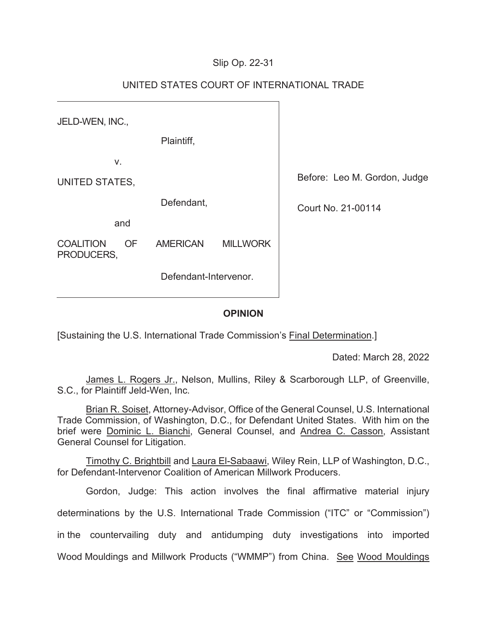## Slip Op. 22-31

| JELD-WEN, INC.,                |           |                 |                    |                              |
|--------------------------------|-----------|-----------------|--------------------|------------------------------|
|                                |           | Plaintiff,      |                    |                              |
| V.                             |           |                 |                    |                              |
| UNITED STATES,                 |           |                 |                    | Before: Leo M. Gordon, Judge |
| Defendant,                     |           |                 | Court No. 21-00114 |                              |
| and                            |           |                 |                    |                              |
| <b>COALITION</b><br>PRODUCERS, | <b>OF</b> | <b>AMERICAN</b> | <b>MILLWORK</b>    |                              |
| Defendant-Intervenor.          |           |                 |                    |                              |
|                                |           |                 |                    |                              |

# UNITED STATES COURT OF INTERNATIONAL TRADE

#### **OPINION**

[Sustaining the U.S. International Trade Commission's Final Determination.]

Dated: March 28, 2022

James L. Rogers Jr., Nelson, Mullins, Riley & Scarborough LLP, of Greenville, S.C., for Plaintiff Jeld-Wen, Inc.

Brian R. Soiset, Attorney-Advisor, Office of the General Counsel, U.S. International Trade Commission, of Washington, D.C., for Defendant United States. With him on the brief were Dominic L. Bianchi, General Counsel, and Andrea C. Casson, Assistant General Counsel for Litigation.

Timothy C. Brightbill and Laura El-Sabaawi, Wiley Rein, LLP of Washington, D.C., for Defendant-Intervenor Coalition of American Millwork Producers.

Gordon, Judge: This action involves the final affirmative material injury determinations by the U.S. International Trade Commission ("ITC" or "Commission") in the countervailing duty and antidumping duty investigations into imported Wood Mouldings and Millwork Products ("WMMP") from China. See Wood Mouldings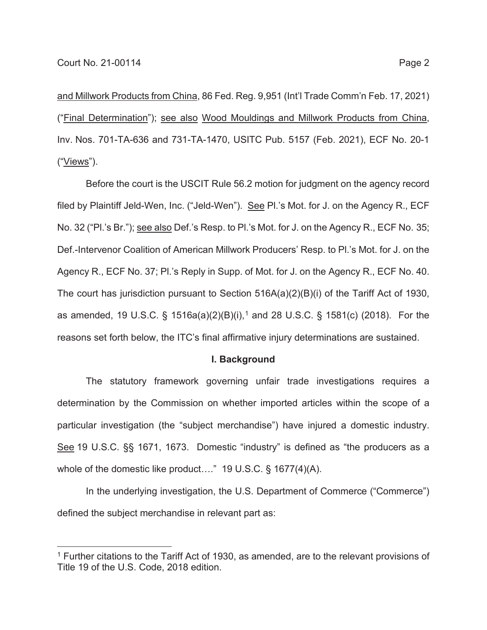and Millwork Products from China, 86 Fed. Reg. 9,951 (Int'l Trade Comm'n Feb. 17, 2021) ("Final Determination"); see also Wood Mouldings and Millwork Products from China, Inv. Nos. 701-TA-636 and 731-TA-1470, USITC Pub. 5157 (Feb. 2021), ECF No. 20-1 ("Views").

Before the court is the USCIT Rule 56.2 motion for judgment on the agency record filed by Plaintiff Jeld-Wen, Inc. ("Jeld-Wen"). See Pl.'s Mot. for J. on the Agency R., ECF No. 32 ("Pl.'s Br."); see also Def.'s Resp. to Pl.'s Mot. for J. on the Agency R., ECF No. 35; Def.-Intervenor Coalition of American Millwork Producers' Resp. to Pl.'s Mot. for J. on the Agency R., ECF No. 37; Pl.'s Reply in Supp. of Mot. for J. on the Agency R., ECF No. 40. The court has jurisdiction pursuant to Section 516A(a)(2)(B)(i) of the Tariff Act of 1930, as amended, 19 U.S.C. § 1516a(a)(2)(B)(i),<sup>1</sup> and 28 U.S.C. § 1581(c) (2018). For the reasons set forth below, the ITC's final affirmative injury determinations are sustained.

#### **I. Background**

The statutory framework governing unfair trade investigations requires a determination by the Commission on whether imported articles within the scope of a particular investigation (the "subject merchandise") have injured a domestic industry. See 19 U.S.C. §§ 1671, 1673. Domestic "industry" is defined as "the producers as a whole of the domestic like product...." 19 U.S.C. § 1677(4)(A).

In the underlying investigation, the U.S. Department of Commerce ("Commerce") defined the subject merchandise in relevant part as:

<sup>&</sup>lt;sup>1</sup> Further citations to the Tariff Act of 1930, as amended, are to the relevant provisions of Title 19 of the U.S. Code, 2018 edition.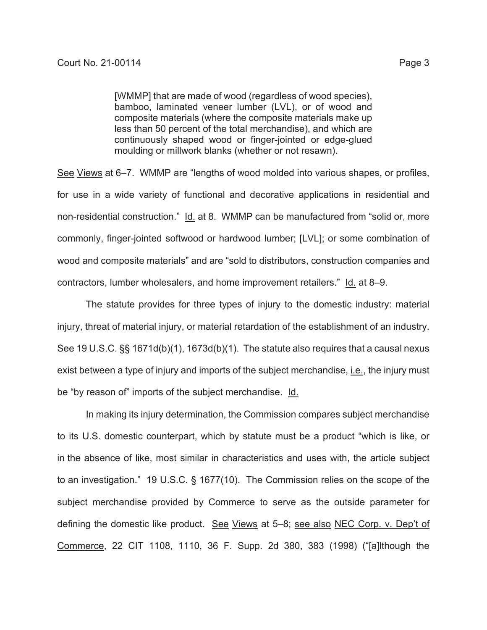[WMMP] that are made of wood (regardless of wood species), bamboo, laminated veneer lumber (LVL), or of wood and composite materials (where the composite materials make up less than 50 percent of the total merchandise), and which are continuously shaped wood or finger-jointed or edge-glued moulding or millwork blanks (whether or not resawn).

See Views at 6–7. WMMP are "lengths of wood molded into various shapes, or profiles, for use in a wide variety of functional and decorative applications in residential and non-residential construction." Id. at 8. WMMP can be manufactured from "solid or, more commonly, finger-jointed softwood or hardwood lumber; [LVL]; or some combination of wood and composite materials" and are "sold to distributors, construction companies and contractors, lumber wholesalers, and home improvement retailers." Id. at 8–9.

The statute provides for three types of injury to the domestic industry: material injury, threat of material injury, or material retardation of the establishment of an industry. See 19 U.S.C. §§ 1671d(b)(1), 1673d(b)(1). The statute also requires that a causal nexus exist between a type of injury and imports of the subject merchandise, i.e., the injury must be "by reason of" imports of the subject merchandise. Id.

In making its injury determination, the Commission compares subject merchandise to its U.S. domestic counterpart, which by statute must be a product "which is like, or in the absence of like, most similar in characteristics and uses with, the article subject to an investigation." 19 U.S.C. § 1677(10). The Commission relies on the scope of the subject merchandise provided by Commerce to serve as the outside parameter for defining the domestic like product. See Views at 5-8; see also NEC Corp. v. Dep't of Commerce, 22 CIT 1108, 1110, 36 F. Supp. 2d 380, 383 (1998) ("[a]lthough the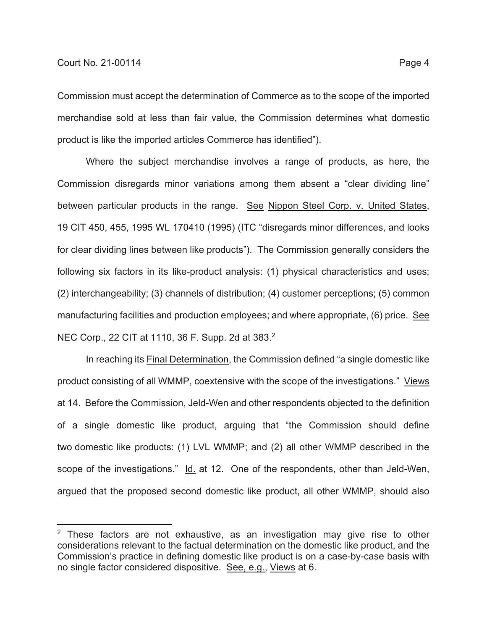Commission must accept the determination of Commerce as to the scope of the imported merchandise sold at less than fair value, the Commission determines what domestic product is like the imported articles Commerce has identified").

Where the subject merchandise involves a range of products, as here, the Commission disregards minor variations among them absent a "clear dividing line" between particular products in the range. See Nippon Steel Corp. v. United States, 19 CIT 450, 455, 1995 WL 170410 (1995) (ITC "disregards minor differences, and looks for clear dividing lines between like products"). The Commission generally considers the following six factors in its like-product analysis: (1) physical characteristics and uses; (2) interchangeability; (3) channels of distribution; (4) customer perceptions; (5) common manufacturing facilities and production employees; and where appropriate, (6) price. See NEC Corp., 22 CIT at 1110, 36 F. Supp. 2d at 383.2

In reaching its Final Determination, the Commission defined "a single domestic like product consisting of all WMMP, coextensive with the scope of the investigations." Views at 14. Before the Commission, Jeld-Wen and other respondents objected to the definition of a single domestic like product, arguing that "the Commission should define two domestic like products: (1) LVL WMMP; and (2) all other WMMP described in the scope of the investigations." Id. at 12. One of the respondents, other than Jeld-Wen, argued that the proposed second domestic like product, all other WMMP, should also

 $2$  These factors are not exhaustive, as an investigation may give rise to other considerations relevant to the factual determination on the domestic like product, and the Commission's practice in defining domestic like product is on a case-by-case basis with no single factor considered dispositive. See, e.g., Views at 6.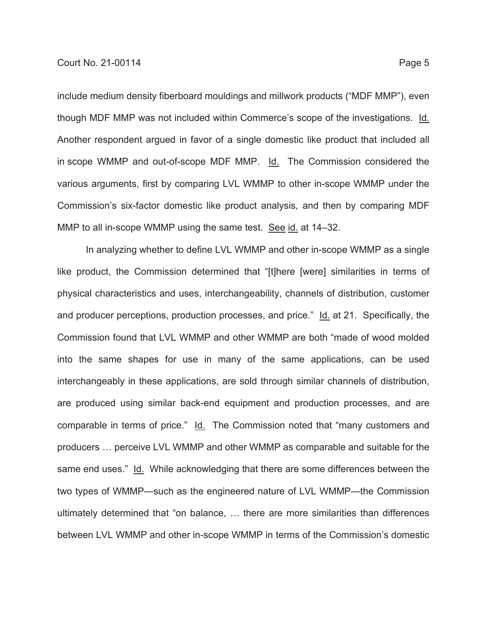include medium density fiberboard mouldings and millwork products ("MDF MMP"), even though MDF MMP was not included within Commerce's scope of the investigations. Id. Another respondent argued in favor of a single domestic like product that included all in scope WMMP and out-of-scope MDF MMP. Id. The Commission considered the various arguments, first by comparing LVL WMMP to other in-scope WMMP under the Commission's six-factor domestic like product analysis, and then by comparing MDF MMP to all in-scope WMMP using the same test. See id. at 14–32.

In analyzing whether to define LVL WMMP and other in-scope WMMP as a single like product, the Commission determined that "[t]here [were] similarities in terms of physical characteristics and uses, interchangeability, channels of distribution, customer and producer perceptions, production processes, and price." Id. at 21. Specifically, the Commission found that LVL WMMP and other WMMP are both "made of wood molded into the same shapes for use in many of the same applications, can be used interchangeably in these applications, are sold through similar channels of distribution, are produced using similar back-end equipment and production processes, and are comparable in terms of price." Id. The Commission noted that "many customers and producers … perceive LVL WMMP and other WMMP as comparable and suitable for the same end uses." Id. While acknowledging that there are some differences between the two types of WMMP—such as the engineered nature of LVL WMMP—the Commission ultimately determined that "on balance, … there are more similarities than differences between LVL WMMP and other in-scope WMMP in terms of the Commission's domestic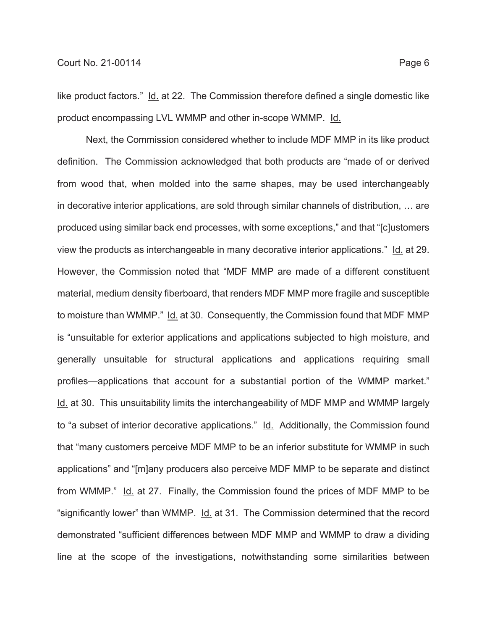like product factors." Id. at 22. The Commission therefore defined a single domestic like product encompassing LVL WMMP and other in-scope WMMP. Id.

Next, the Commission considered whether to include MDF MMP in its like product definition. The Commission acknowledged that both products are "made of or derived from wood that, when molded into the same shapes, may be used interchangeably in decorative interior applications, are sold through similar channels of distribution, … are produced using similar back end processes, with some exceptions," and that "[c]ustomers view the products as interchangeable in many decorative interior applications." Id. at 29. However, the Commission noted that "MDF MMP are made of a different constituent material, medium density fiberboard, that renders MDF MMP more fragile and susceptible to moisture than WMMP." Id. at 30. Consequently, the Commission found that MDF MMP is "unsuitable for exterior applications and applications subjected to high moisture, and generally unsuitable for structural applications and applications requiring small profiles—applications that account for a substantial portion of the WMMP market." Id. at 30. This unsuitability limits the interchangeability of MDF MMP and WMMP largely to "a subset of interior decorative applications." Id. Additionally, the Commission found that "many customers perceive MDF MMP to be an inferior substitute for WMMP in such applications" and "[m]any producers also perceive MDF MMP to be separate and distinct from WMMP." Id. at 27. Finally, the Commission found the prices of MDF MMP to be "significantly lower" than WMMP. Id. at 31. The Commission determined that the record demonstrated "sufficient differences between MDF MMP and WMMP to draw a dividing line at the scope of the investigations, notwithstanding some similarities between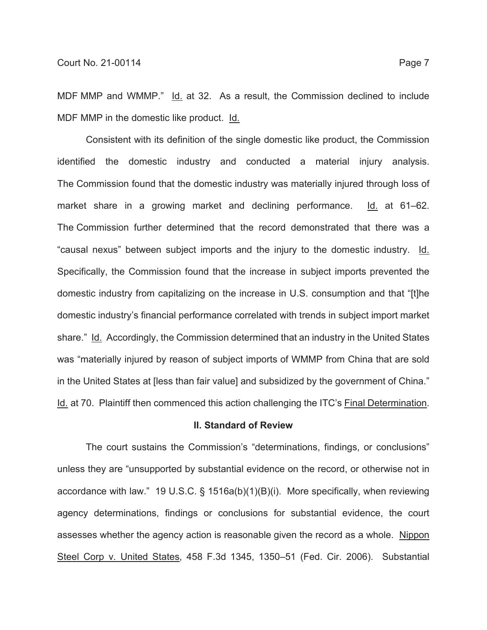MDF MMP and WMMP." Id. at 32. As a result, the Commission declined to include MDF MMP in the domestic like product. Id.

Consistent with its definition of the single domestic like product, the Commission identified the domestic industry and conducted a material injury analysis. The Commission found that the domestic industry was materially injured through loss of market share in a growing market and declining performance. Id. at 61–62. The Commission further determined that the record demonstrated that there was a "causal nexus" between subject imports and the injury to the domestic industry. Id. Specifically, the Commission found that the increase in subject imports prevented the domestic industry from capitalizing on the increase in U.S. consumption and that "[t]he domestic industry's financial performance correlated with trends in subject import market share." Id. Accordingly, the Commission determined that an industry in the United States was "materially injured by reason of subject imports of WMMP from China that are sold in the United States at [less than fair value] and subsidized by the government of China." Id. at 70. Plaintiff then commenced this action challenging the ITC's Final Determination.

### **II. Standard of Review**

The court sustains the Commission's "determinations, findings, or conclusions" unless they are "unsupported by substantial evidence on the record, or otherwise not in accordance with law." 19 U.S.C. § 1516a(b)(1)(B)(i). More specifically, when reviewing agency determinations, findings or conclusions for substantial evidence, the court assesses whether the agency action is reasonable given the record as a whole. Nippon Steel Corp v. United States, 458 F.3d 1345, 1350–51 (Fed. Cir. 2006). Substantial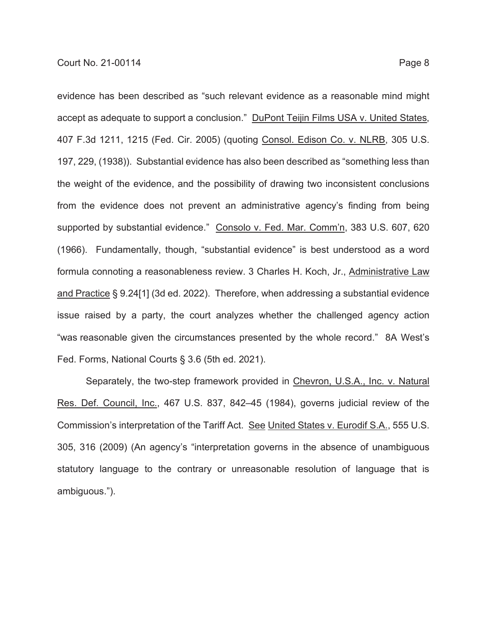evidence has been described as "such relevant evidence as a reasonable mind might accept as adequate to support a conclusion." DuPont Teijin Films USA v. United States, 407 F.3d 1211, 1215 (Fed. Cir. 2005) (quoting Consol. Edison Co. v. NLRB, 305 U.S. 197, 229, (1938)). Substantial evidence has also been described as "something less than the weight of the evidence, and the possibility of drawing two inconsistent conclusions from the evidence does not prevent an administrative agency's finding from being supported by substantial evidence." Consolo v. Fed. Mar. Comm'n, 383 U.S. 607, 620 (1966). Fundamentally, though, "substantial evidence" is best understood as a word formula connoting a reasonableness review. 3 Charles H. Koch, Jr., Administrative Law and Practice § 9.24[1] (3d ed. 2022). Therefore, when addressing a substantial evidence issue raised by a party, the court analyzes whether the challenged agency action "was reasonable given the circumstances presented by the whole record." 8A West's Fed. Forms, National Courts § 3.6 (5th ed. 2021).

Separately, the two-step framework provided in Chevron, U.S.A., Inc. v. Natural Res. Def. Council, Inc., 467 U.S. 837, 842–45 (1984), governs judicial review of the Commission's interpretation of the Tariff Act. See United States v. Eurodif S.A., 555 U.S. 305, 316 (2009) (An agency's "interpretation governs in the absence of unambiguous statutory language to the contrary or unreasonable resolution of language that is ambiguous.").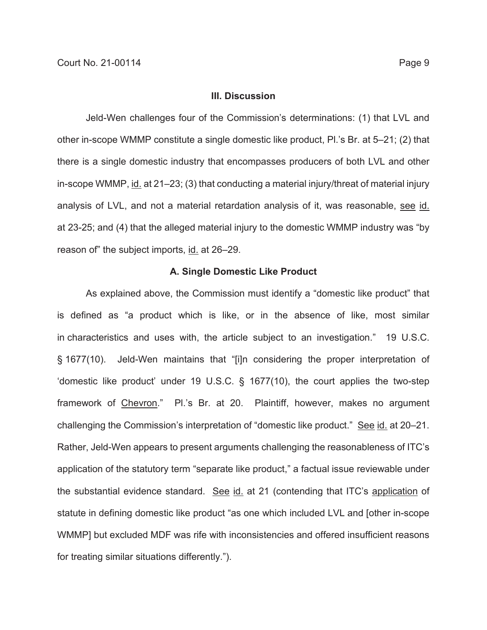#### **III. Discussion**

Jeld-Wen challenges four of the Commission's determinations: (1) that LVL and other in-scope WMMP constitute a single domestic like product, Pl.'s Br. at 5–21; (2) that there is a single domestic industry that encompasses producers of both LVL and other in-scope WMMP, id. at 21–23; (3) that conducting a material injury/threat of material injury analysis of LVL, and not a material retardation analysis of it, was reasonable, see id. at 23-25; and (4) that the alleged material injury to the domestic WMMP industry was "by reason of" the subject imports, id. at 26–29.

### **A. Single Domestic Like Product**

As explained above, the Commission must identify a "domestic like product" that is defined as "a product which is like, or in the absence of like, most similar in characteristics and uses with, the article subject to an investigation." 19 U.S.C. § 1677(10). Jeld-Wen maintains that "[i]n considering the proper interpretation of 'domestic like product' under 19 U.S.C. § 1677(10), the court applies the two-step framework of Chevron." Pl.'s Br. at 20. Plaintiff, however, makes no argument challenging the Commission's interpretation of "domestic like product." See id. at 20–21. Rather, Jeld-Wen appears to present arguments challenging the reasonableness of ITC's application of the statutory term "separate like product," a factual issue reviewable under the substantial evidence standard. See id. at 21 (contending that ITC's application of statute in defining domestic like product "as one which included LVL and [other in-scope WMMP] but excluded MDF was rife with inconsistencies and offered insufficient reasons for treating similar situations differently.").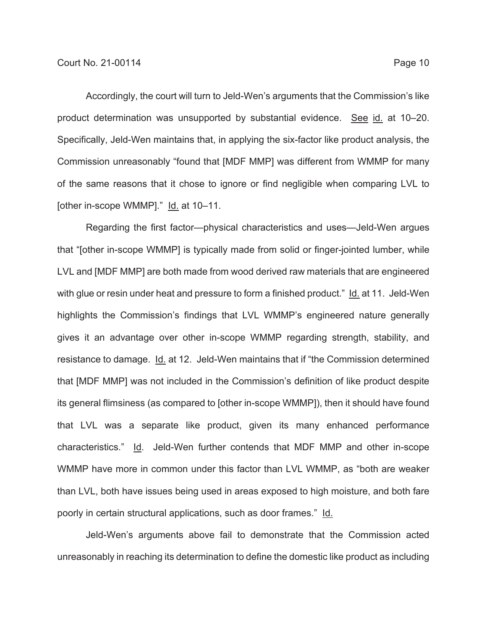Accordingly, the court will turn to Jeld-Wen's arguments that the Commission's like product determination was unsupported by substantial evidence. See id. at 10-20. Specifically, Jeld-Wen maintains that, in applying the six-factor like product analysis, the Commission unreasonably "found that [MDF MMP] was different from WMMP for many of the same reasons that it chose to ignore or find negligible when comparing LVL to [other in-scope WMMP]." Id. at 10–11.

Regarding the first factor—physical characteristics and uses—Jeld-Wen argues that "[other in-scope WMMP] is typically made from solid or finger-jointed lumber, while LVL and [MDF MMP] are both made from wood derived raw materials that are engineered with glue or resin under heat and pressure to form a finished product." Id. at 11. Jeld-Wen highlights the Commission's findings that LVL WMMP's engineered nature generally gives it an advantage over other in-scope WMMP regarding strength, stability, and resistance to damage. Id. at 12. Jeld-Wen maintains that if "the Commission determined that [MDF MMP] was not included in the Commission's definition of like product despite its general flimsiness (as compared to [other in-scope WMMP]), then it should have found that LVL was a separate like product, given its many enhanced performance characteristics." Id. Jeld-Wen further contends that MDF MMP and other in-scope WMMP have more in common under this factor than LVL WMMP, as "both are weaker than LVL, both have issues being used in areas exposed to high moisture, and both fare poorly in certain structural applications, such as door frames." Id.

Jeld-Wen's arguments above fail to demonstrate that the Commission acted unreasonably in reaching its determination to define the domestic like product as including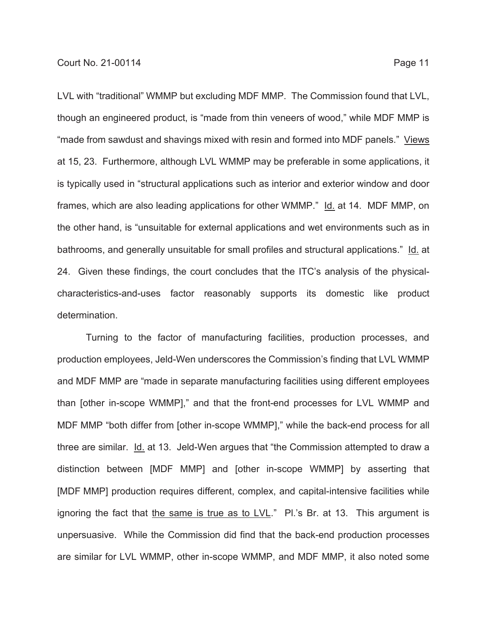LVL with "traditional" WMMP but excluding MDF MMP. The Commission found that LVL, though an engineered product, is "made from thin veneers of wood," while MDF MMP is "made from sawdust and shavings mixed with resin and formed into MDF panels." Views at 15, 23. Furthermore, although LVL WMMP may be preferable in some applications, it is typically used in "structural applications such as interior and exterior window and door frames, which are also leading applications for other WMMP." Id. at 14. MDF MMP, on the other hand, is "unsuitable for external applications and wet environments such as in bathrooms, and generally unsuitable for small profiles and structural applications." Id. at 24. Given these findings, the court concludes that the ITC's analysis of the physicalcharacteristics-and-uses factor reasonably supports its domestic like product determination.

Turning to the factor of manufacturing facilities, production processes, and production employees, Jeld-Wen underscores the Commission's finding that LVL WMMP and MDF MMP are "made in separate manufacturing facilities using different employees than [other in-scope WMMP]," and that the front-end processes for LVL WMMP and MDF MMP "both differ from [other in-scope WMMP]," while the back-end process for all three are similar. Id. at 13. Jeld-Wen argues that "the Commission attempted to draw a distinction between [MDF MMP] and [other in-scope WMMP] by asserting that [MDF MMP] production requires different, complex, and capital-intensive facilities while ignoring the fact that the same is true as to LVL." Pl.'s Br. at 13. This argument is unpersuasive. While the Commission did find that the back-end production processes are similar for LVL WMMP, other in-scope WMMP, and MDF MMP, it also noted some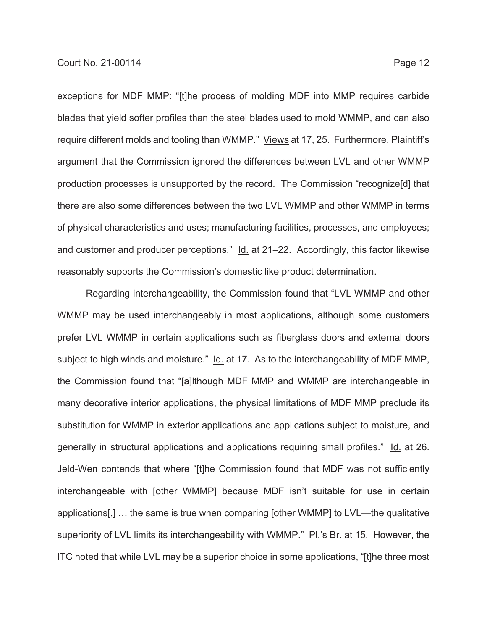exceptions for MDF MMP: "[t]he process of molding MDF into MMP requires carbide blades that yield softer profiles than the steel blades used to mold WMMP, and can also require different molds and tooling than WMMP." Views at 17, 25. Furthermore, Plaintiff's argument that the Commission ignored the differences between LVL and other WMMP production processes is unsupported by the record. The Commission "recognize[d] that there are also some differences between the two LVL WMMP and other WMMP in terms of physical characteristics and uses; manufacturing facilities, processes, and employees; and customer and producer perceptions." Id. at 21–22. Accordingly, this factor likewise reasonably supports the Commission's domestic like product determination.

Regarding interchangeability, the Commission found that "LVL WMMP and other WMMP may be used interchangeably in most applications, although some customers prefer LVL WMMP in certain applications such as fiberglass doors and external doors subject to high winds and moisture." Id. at 17. As to the interchangeability of MDF MMP, the Commission found that "[a]lthough MDF MMP and WMMP are interchangeable in many decorative interior applications, the physical limitations of MDF MMP preclude its substitution for WMMP in exterior applications and applications subject to moisture, and generally in structural applications and applications requiring small profiles." Id. at 26. Jeld-Wen contends that where "[t]he Commission found that MDF was not sufficiently interchangeable with [other WMMP] because MDF isn't suitable for use in certain applications[,] … the same is true when comparing [other WMMP] to LVL—the qualitative superiority of LVL limits its interchangeability with WMMP." Pl.'s Br. at 15. However, the ITC noted that while LVL may be a superior choice in some applications, "[t]he three most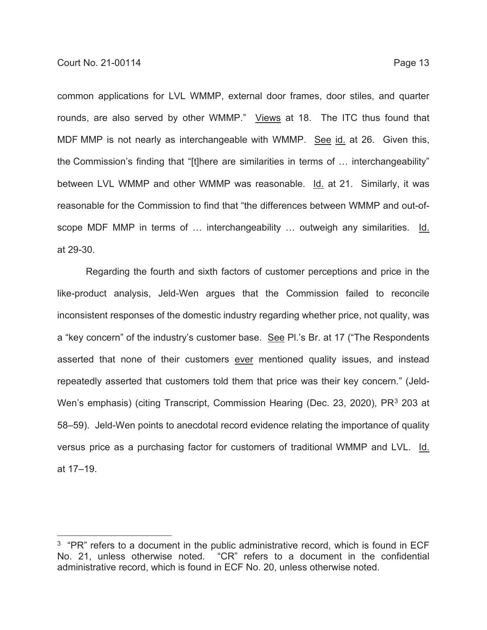common applications for LVL WMMP, external door frames, door stiles, and quarter rounds, are also served by other WMMP." Views at 18. The ITC thus found that MDF MMP is not nearly as interchangeable with WMMP. See id. at 26. Given this, the Commission's finding that "[t]here are similarities in terms of … interchangeability" between LVL WMMP and other WMMP was reasonable. Id. at 21. Similarly, it was reasonable for the Commission to find that "the differences between WMMP and out-ofscope MDF MMP in terms of … interchangeability … outweigh any similarities. Id. at 29-30.

Regarding the fourth and sixth factors of customer perceptions and price in the like-product analysis, Jeld-Wen argues that the Commission failed to reconcile inconsistent responses of the domestic industry regarding whether price, not quality, was a "key concern" of the industry's customer base. See Pl.'s Br. at 17 ("The Respondents asserted that none of their customers ever mentioned quality issues, and instead repeatedly asserted that customers told them that price was their key concern." (Jeld-Wen's emphasis) (citing Transcript, Commission Hearing (Dec. 23, 2020), PR<sup>3</sup> 203 at 58–59). Jeld-Wen points to anecdotal record evidence relating the importance of quality versus price as a purchasing factor for customers of traditional WMMP and LVL. Id. at 17–19.

 $3$  "PR" refers to a document in the public administrative record, which is found in ECF No. 21, unless otherwise noted. "CR" refers to a document in the confidential administrative record, which is found in ECF No. 20, unless otherwise noted.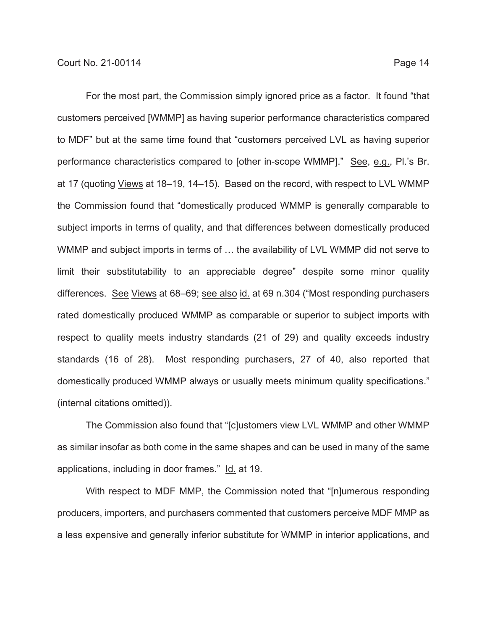For the most part, the Commission simply ignored price as a factor. It found "that customers perceived [WMMP] as having superior performance characteristics compared to MDF" but at the same time found that "customers perceived LVL as having superior performance characteristics compared to [other in-scope WMMP]." See, e.g., Pl.'s Br. at 17 (quoting Views at 18–19, 14–15). Based on the record, with respect to LVL WMMP the Commission found that "domestically produced WMMP is generally comparable to subject imports in terms of quality, and that differences between domestically produced WMMP and subject imports in terms of … the availability of LVL WMMP did not serve to limit their substitutability to an appreciable degree" despite some minor quality differences. See Views at 68–69; see also id. at 69 n.304 ("Most responding purchasers rated domestically produced WMMP as comparable or superior to subject imports with respect to quality meets industry standards (21 of 29) and quality exceeds industry standards (16 of 28). Most responding purchasers, 27 of 40, also reported that domestically produced WMMP always or usually meets minimum quality specifications." (internal citations omitted)).

The Commission also found that "[c]ustomers view LVL WMMP and other WMMP as similar insofar as both come in the same shapes and can be used in many of the same applications, including in door frames." Id. at 19.

With respect to MDF MMP, the Commission noted that "[n]umerous responding producers, importers, and purchasers commented that customers perceive MDF MMP as a less expensive and generally inferior substitute for WMMP in interior applications, and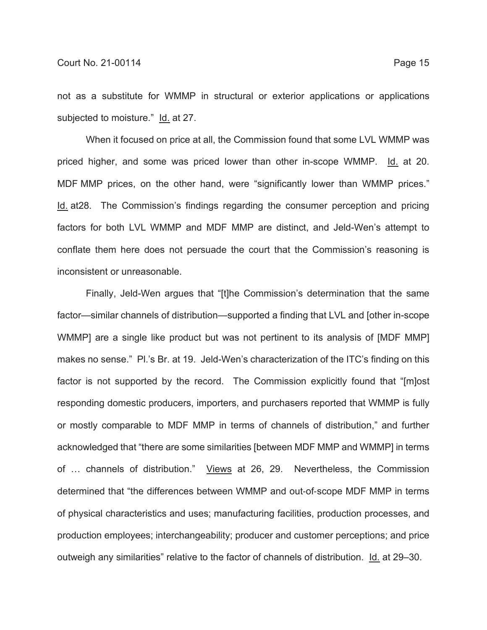not as a substitute for WMMP in structural or exterior applications or applications subjected to moisture." Id. at 27.

When it focused on price at all, the Commission found that some LVL WMMP was priced higher, and some was priced lower than other in-scope WMMP. Id. at 20. MDF MMP prices, on the other hand, were "significantly lower than WMMP prices." Id. at28. The Commission's findings regarding the consumer perception and pricing factors for both LVL WMMP and MDF MMP are distinct, and Jeld-Wen's attempt to conflate them here does not persuade the court that the Commission's reasoning is inconsistent or unreasonable.

Finally, Jeld-Wen argues that "[t]he Commission's determination that the same factor—similar channels of distribution—supported a finding that LVL and [other in-scope WMMP] are a single like product but was not pertinent to its analysis of [MDF MMP] makes no sense." Pl.'s Br. at 19. Jeld-Wen's characterization of the ITC's finding on this factor is not supported by the record. The Commission explicitly found that "[m]ost responding domestic producers, importers, and purchasers reported that WMMP is fully or mostly comparable to MDF MMP in terms of channels of distribution," and further acknowledged that "there are some similarities [between MDF MMP and WMMP] in terms of … channels of distribution." Views at 26, 29. Nevertheless, the Commission determined that "the differences between WMMP and out-of-scope MDF MMP in terms of physical characteristics and uses; manufacturing facilities, production processes, and production employees; interchangeability; producer and customer perceptions; and price outweigh any similarities" relative to the factor of channels of distribution. Id. at 29–30.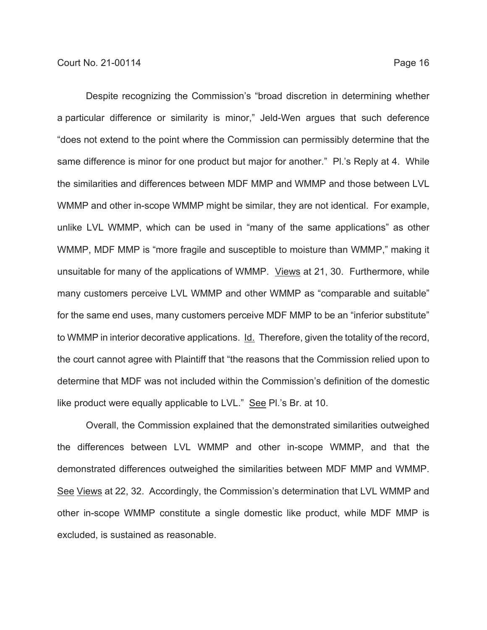Despite recognizing the Commission's "broad discretion in determining whether a particular difference or similarity is minor," Jeld-Wen argues that such deference "does not extend to the point where the Commission can permissibly determine that the same difference is minor for one product but major for another." Pl.'s Reply at 4. While the similarities and differences between MDF MMP and WMMP and those between LVL WMMP and other in-scope WMMP might be similar, they are not identical. For example, unlike LVL WMMP, which can be used in "many of the same applications" as other WMMP, MDF MMP is "more fragile and susceptible to moisture than WMMP," making it unsuitable for many of the applications of WMMP. Views at 21, 30. Furthermore, while many customers perceive LVL WMMP and other WMMP as "comparable and suitable" for the same end uses, many customers perceive MDF MMP to be an "inferior substitute" to WMMP in interior decorative applications. Id. Therefore, given the totality of the record, the court cannot agree with Plaintiff that "the reasons that the Commission relied upon to determine that MDF was not included within the Commission's definition of the domestic like product were equally applicable to LVL." See Pl.'s Br. at 10.

Overall, the Commission explained that the demonstrated similarities outweighed the differences between LVL WMMP and other in-scope WMMP, and that the demonstrated differences outweighed the similarities between MDF MMP and WMMP. See Views at 22, 32. Accordingly, the Commission's determination that LVL WMMP and other in-scope WMMP constitute a single domestic like product, while MDF MMP is excluded, is sustained as reasonable.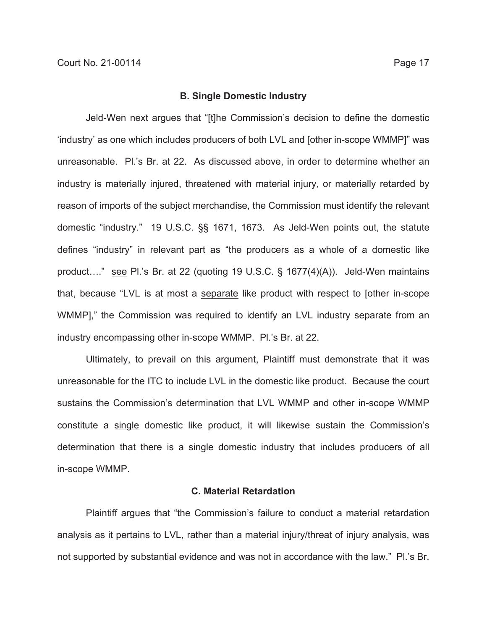#### **B. Single Domestic Industry**

Jeld-Wen next argues that "[t]he Commission's decision to define the domestic 'industry' as one which includes producers of both LVL and [other in-scope WMMP]" was unreasonable. Pl.'s Br. at 22. As discussed above, in order to determine whether an industry is materially injured, threatened with material injury, or materially retarded by reason of imports of the subject merchandise, the Commission must identify the relevant domestic "industry." 19 U.S.C. §§ 1671, 1673. As Jeld-Wen points out, the statute defines "industry" in relevant part as "the producers as a whole of a domestic like product…." see Pl.'s Br. at 22 (quoting 19 U.S.C. § 1677(4)(A)). Jeld-Wen maintains that, because "LVL is at most a separate like product with respect to [other in-scope WMMP]," the Commission was required to identify an LVL industry separate from an industry encompassing other in-scope WMMP. Pl.'s Br. at 22.

Ultimately, to prevail on this argument, Plaintiff must demonstrate that it was unreasonable for the ITC to include LVL in the domestic like product. Because the court sustains the Commission's determination that LVL WMMP and other in-scope WMMP constitute a single domestic like product, it will likewise sustain the Commission's determination that there is a single domestic industry that includes producers of all in-scope WMMP.

### **C. Material Retardation**

Plaintiff argues that "the Commission's failure to conduct a material retardation analysis as it pertains to LVL, rather than a material injury/threat of injury analysis, was not supported by substantial evidence and was not in accordance with the law." Pl.'s Br.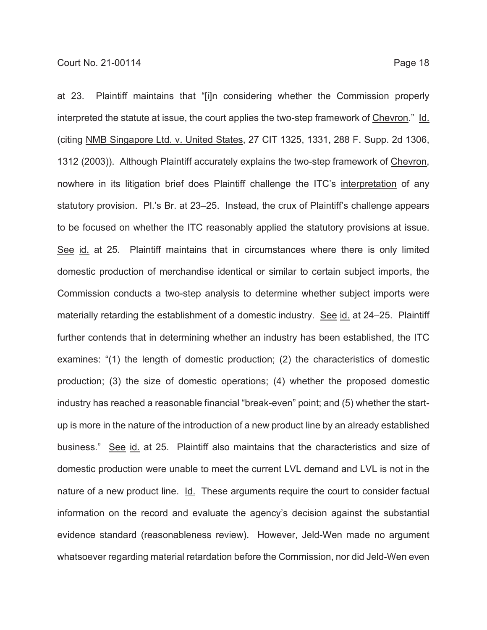at 23. Plaintiff maintains that "[i]n considering whether the Commission properly interpreted the statute at issue, the court applies the two-step framework of Chevron." Id. (citing NMB Singapore Ltd. v. United States, 27 CIT 1325, 1331, 288 F. Supp. 2d 1306, 1312 (2003)). Although Plaintiff accurately explains the two-step framework of Chevron, nowhere in its litigation brief does Plaintiff challenge the ITC's interpretation of any statutory provision. Pl.'s Br. at 23–25. Instead, the crux of Plaintiff's challenge appears to be focused on whether the ITC reasonably applied the statutory provisions at issue. See id. at 25. Plaintiff maintains that in circumstances where there is only limited domestic production of merchandise identical or similar to certain subject imports, the Commission conducts a two-step analysis to determine whether subject imports were materially retarding the establishment of a domestic industry. See id. at 24–25. Plaintiff further contends that in determining whether an industry has been established, the ITC examines: "(1) the length of domestic production; (2) the characteristics of domestic production; (3) the size of domestic operations; (4) whether the proposed domestic industry has reached a reasonable financial "break-even" point; and (5) whether the startup is more in the nature of the introduction of a new product line by an already established business." See id. at 25. Plaintiff also maintains that the characteristics and size of domestic production were unable to meet the current LVL demand and LVL is not in the nature of a new product line. Id. These arguments require the court to consider factual information on the record and evaluate the agency's decision against the substantial evidence standard (reasonableness review). However, Jeld-Wen made no argument whatsoever regarding material retardation before the Commission, nor did Jeld-Wen even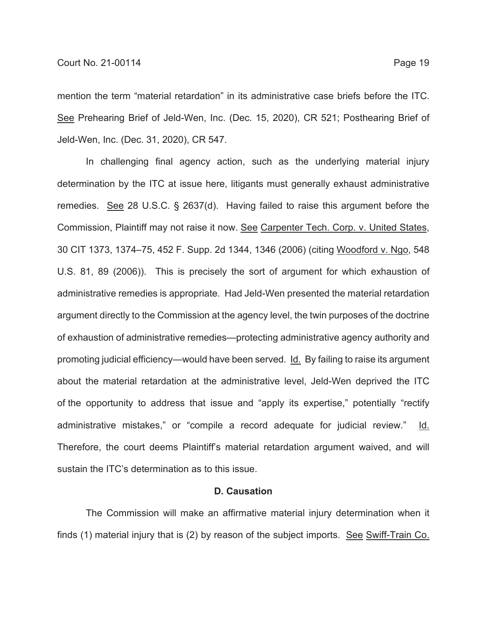mention the term "material retardation" in its administrative case briefs before the ITC. See Prehearing Brief of Jeld-Wen, Inc. (Dec. 15, 2020), CR 521; Posthearing Brief of Jeld-Wen, Inc. (Dec. 31, 2020), CR 547.

In challenging final agency action, such as the underlying material injury determination by the ITC at issue here, litigants must generally exhaust administrative remedies. See 28 U.S.C. § 2637(d). Having failed to raise this argument before the Commission, Plaintiff may not raise it now. See Carpenter Tech. Corp. v. United States, 30 CIT 1373, 1374–75, 452 F. Supp. 2d 1344, 1346 (2006) (citing Woodford v. Ngo, 548 U.S. 81, 89 (2006)). This is precisely the sort of argument for which exhaustion of administrative remedies is appropriate. Had Jeld-Wen presented the material retardation argument directly to the Commission at the agency level, the twin purposes of the doctrine of exhaustion of administrative remedies—protecting administrative agency authority and promoting judicial efficiency—would have been served. Id. By failing to raise its argument about the material retardation at the administrative level, Jeld-Wen deprived the ITC of the opportunity to address that issue and "apply its expertise," potentially "rectify administrative mistakes," or "compile a record adequate for judicial review." Id. Therefore, the court deems Plaintiff's material retardation argument waived, and will sustain the ITC's determination as to this issue.

#### **D. Causation**

The Commission will make an affirmative material injury determination when it finds (1) material injury that is (2) by reason of the subject imports. See Swiff-Train Co.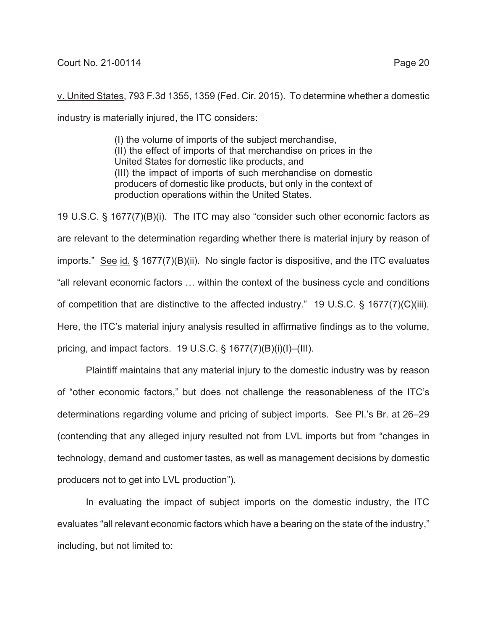v. United States, 793 F.3d 1355, 1359 (Fed. Cir. 2015). To determine whether a domestic industry is materially injured, the ITC considers:

> (I) the volume of imports of the subject merchandise, (II) the effect of imports of that merchandise on prices in the United States for domestic like products, and (III) the impact of imports of such merchandise on domestic producers of domestic like products, but only in the context of production operations within the United States.

19 U.S.C. § 1677(7)(B)(i). The ITC may also "consider such other economic factors as are relevant to the determination regarding whether there is material injury by reason of imports." See id. § 1677(7)(B)(ii). No single factor is dispositive, and the ITC evaluates "all relevant economic factors … within the context of the business cycle and conditions of competition that are distinctive to the affected industry." 19 U.S.C. § 1677(7)(C)(iii). Here, the ITC's material injury analysis resulted in affirmative findings as to the volume, pricing, and impact factors. 19 U.S.C.  $\S$  1677(7)(B)(i)(I)–(III).

Plaintiff maintains that any material injury to the domestic industry was by reason of "other economic factors," but does not challenge the reasonableness of the ITC's determinations regarding volume and pricing of subject imports. See Pl.'s Br. at 26–29 (contending that any alleged injury resulted not from LVL imports but from "changes in technology, demand and customer tastes, as well as management decisions by domestic producers not to get into LVL production").

In evaluating the impact of subject imports on the domestic industry, the ITC evaluates "all relevant economic factors which have a bearing on the state of the industry," including, but not limited to: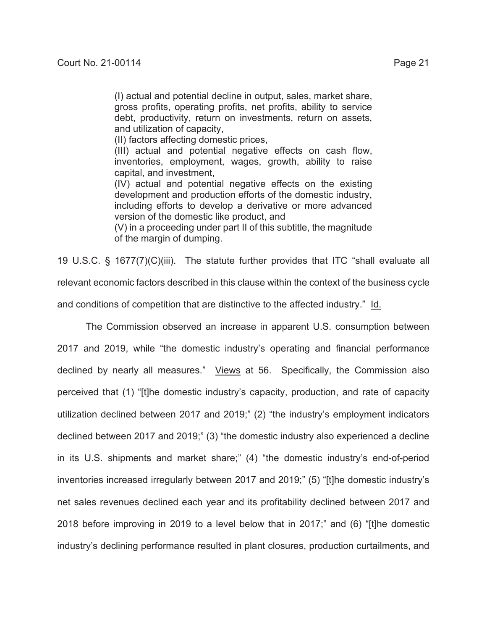(I) actual and potential decline in output, sales, market share, gross profits, operating profits, net profits, ability to service debt, productivity, return on investments, return on assets, and utilization of capacity,

(II) factors affecting domestic prices,

(III) actual and potential negative effects on cash flow, inventories, employment, wages, growth, ability to raise capital, and investment,

(IV) actual and potential negative effects on the existing development and production efforts of the domestic industry, including efforts to develop a derivative or more advanced version of the domestic like product, and

(V) in a proceeding under part II of this subtitle, the magnitude of the margin of dumping.

19 U.S.C. § 1677(7)(C)(iii). The statute further provides that ITC "shall evaluate all relevant economic factors described in this clause within the context of the business cycle and conditions of competition that are distinctive to the affected industry." Id.

The Commission observed an increase in apparent U.S. consumption between 2017 and 2019, while "the domestic industry's operating and financial performance declined by nearly all measures." Views at 56. Specifically, the Commission also perceived that (1) "[t]he domestic industry's capacity, production, and rate of capacity utilization declined between 2017 and 2019;" (2) "the industry's employment indicators declined between 2017 and 2019;" (3) "the domestic industry also experienced a decline in its U.S. shipments and market share;" (4) "the domestic industry's end-of-period inventories increased irregularly between 2017 and 2019;" (5) "[t]he domestic industry's net sales revenues declined each year and its profitability declined between 2017 and 2018 before improving in 2019 to a level below that in 2017;" and (6) "[t]he domestic industry's declining performance resulted in plant closures, production curtailments, and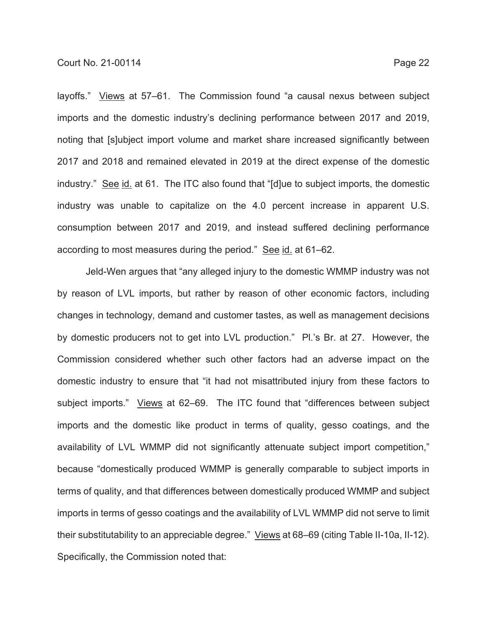layoffs." Views at 57–61. The Commission found "a causal nexus between subject imports and the domestic industry's declining performance between 2017 and 2019, noting that [s]ubject import volume and market share increased significantly between 2017 and 2018 and remained elevated in 2019 at the direct expense of the domestic industry." See id. at 61. The ITC also found that "[d]ue to subject imports, the domestic industry was unable to capitalize on the 4.0 percent increase in apparent U.S. consumption between 2017 and 2019, and instead suffered declining performance according to most measures during the period." See id. at 61–62.

Jeld-Wen argues that "any alleged injury to the domestic WMMP industry was not by reason of LVL imports, but rather by reason of other economic factors, including changes in technology, demand and customer tastes, as well as management decisions by domestic producers not to get into LVL production." Pl.'s Br. at 27. However, the Commission considered whether such other factors had an adverse impact on the domestic industry to ensure that "it had not misattributed injury from these factors to subject imports." Views at 62–69. The ITC found that "differences between subject imports and the domestic like product in terms of quality, gesso coatings, and the availability of LVL WMMP did not significantly attenuate subject import competition," because "domestically produced WMMP is generally comparable to subject imports in terms of quality, and that differences between domestically produced WMMP and subject imports in terms of gesso coatings and the availability of LVL WMMP did not serve to limit their substitutability to an appreciable degree." Views at 68–69 (citing Table II-10a, II-12). Specifically, the Commission noted that: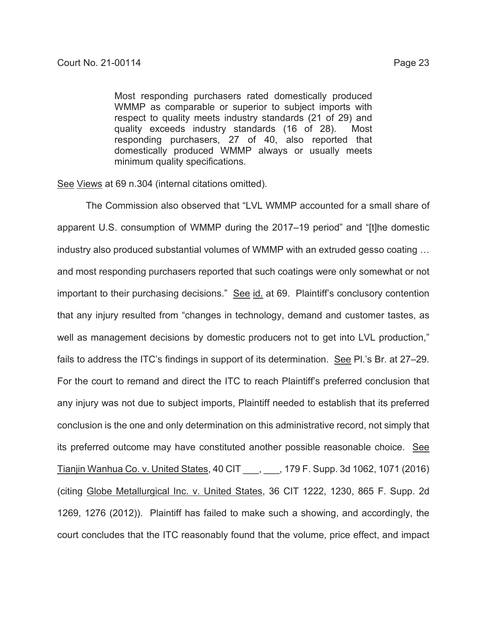Most responding purchasers rated domestically produced WMMP as comparable or superior to subject imports with respect to quality meets industry standards (21 of 29) and quality exceeds industry standards (16 of 28). Most responding purchasers, 27 of 40, also reported that domestically produced WMMP always or usually meets minimum quality specifications.

See Views at 69 n.304 (internal citations omitted).

The Commission also observed that "LVL WMMP accounted for a small share of apparent U.S. consumption of WMMP during the 2017–19 period" and "[t]he domestic industry also produced substantial volumes of WMMP with an extruded gesso coating … and most responding purchasers reported that such coatings were only somewhat or not important to their purchasing decisions." See id. at 69. Plaintiff's conclusory contention that any injury resulted from "changes in technology, demand and customer tastes, as well as management decisions by domestic producers not to get into LVL production," fails to address the ITC's findings in support of its determination. See Pl.'s Br. at 27–29. For the court to remand and direct the ITC to reach Plaintiff's preferred conclusion that any injury was not due to subject imports, Plaintiff needed to establish that its preferred conclusion is the one and only determination on this administrative record, not simply that its preferred outcome may have constituted another possible reasonable choice. See Tianjin Wanhua Co. v. United States, 40 CIT \_\_\_, \_\_\_, 179 F. Supp. 3d 1062, 1071 (2016) (citing Globe Metallurgical Inc. v. United States, 36 CIT 1222, 1230, 865 F. Supp. 2d 1269, 1276 (2012)). Plaintiff has failed to make such a showing, and accordingly, the court concludes that the ITC reasonably found that the volume, price effect, and impact